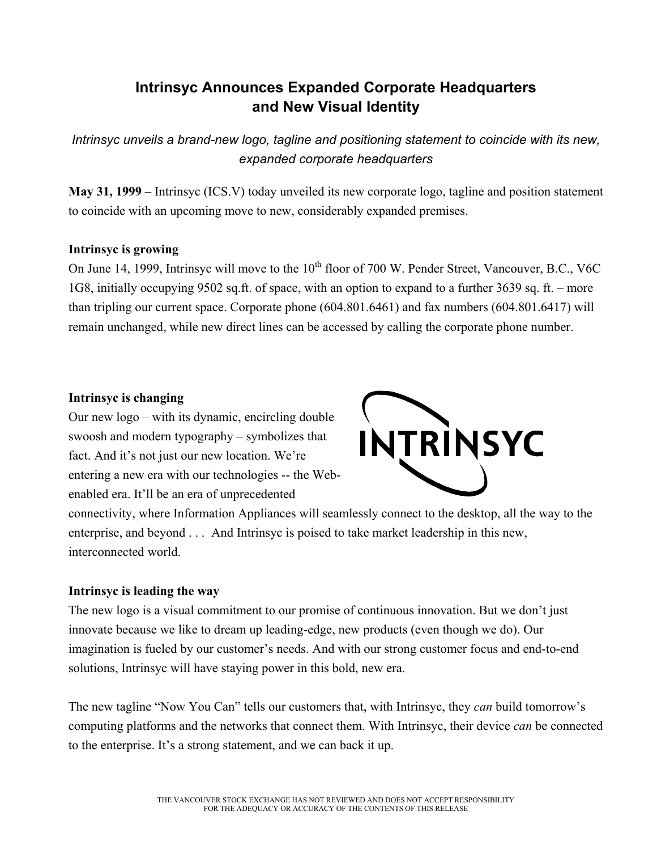# **Intrinsyc Announces Expanded Corporate Headquarters and New Visual Identity**

*Intrinsyc unveils a brand-new logo, tagline and positioning statement to coincide with its new, expanded corporate headquarters* 

**May 31, 1999** – Intrinsyc (ICS.V) today unveiled its new corporate logo, tagline and position statement to coincide with an upcoming move to new, considerably expanded premises.

### **Intrinsyc is growing**

On June 14, 1999, Intrinsyc will move to the 10<sup>th</sup> floor of 700 W. Pender Street, Vancouver, B.C., V6C 1G8, initially occupying 9502 sq.ft. of space, with an option to expand to a further 3639 sq. ft. – more than tripling our current space. Corporate phone (604.801.6461) and fax numbers (604.801.6417) will remain unchanged, while new direct lines can be accessed by calling the corporate phone number.

### **Intrinsyc is changing**

Our new logo – with its dynamic, encircling double swoosh and modern typography – symbolizes that fact. And it's not just our new location. We're entering a new era with our technologies -- the Webenabled era. It'll be an era of unprecedented



connectivity, where Information Appliances will seamlessly connect to the desktop, all the way to the enterprise, and beyond . . . And Intrinsyc is poised to take market leadership in this new, interconnected world.

## **Intrinsyc is leading the way**

The new logo is a visual commitment to our promise of continuous innovation. But we don't just innovate because we like to dream up leading-edge, new products (even though we do). Our imagination is fueled by our customer's needs. And with our strong customer focus and end-to-end solutions, Intrinsyc will have staying power in this bold, new era.

The new tagline "Now You Can" tells our customers that, with Intrinsyc, they *can* build tomorrow's computing platforms and the networks that connect them. With Intrinsyc, their device *can* be connected to the enterprise. It's a strong statement, and we can back it up.